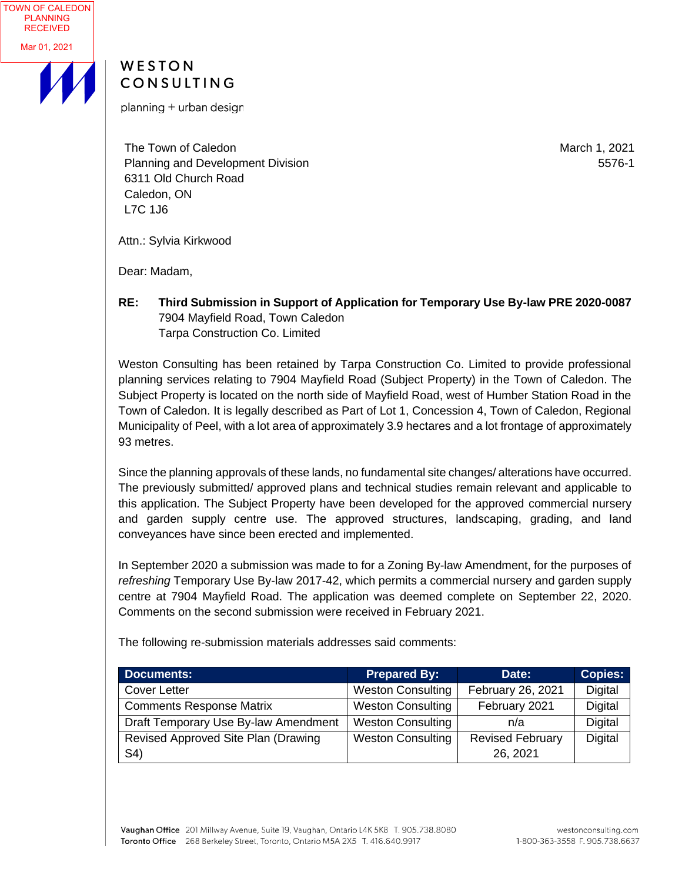

## WESTON CONSULTING

planning + urban design

The Town of Caledon Planning and Development Division 6311 Old Church Road Caledon, ON L7C 1J6

March 1, 2021 5576-1

Attn.: Sylvia Kirkwood

Dear: Madam,

**RE: Third Submission in Support of Application for Temporary Use By-law PRE 2020-0087** 7904 Mayfield Road, Town Caledon Tarpa Construction Co. Limited

Weston Consulting has been retained by Tarpa Construction Co. Limited to provide professional planning services relating to 7904 Mayfield Road (Subject Property) in the Town of Caledon. The Subject Property is located on the north side of Mayfield Road, west of Humber Station Road in the Town of Caledon. It is legally described as Part of Lot 1, Concession 4, Town of Caledon, Regional Municipality of Peel, with a lot area of approximately 3.9 hectares and a lot frontage of approximately 93 metres.

Since the planning approvals of these lands, no fundamental site changes/ alterations have occurred. The previously submitted/ approved plans and technical studies remain relevant and applicable to this application. The Subject Property have been developed for the approved commercial nursery and garden supply centre use. The approved structures, landscaping, grading, and land conveyances have since been erected and implemented.

In September 2020 a submission was made to for a Zoning By-law Amendment, for the purposes of *refreshing* Temporary Use By-law 2017-42, which permits a commercial nursery and garden supply centre at 7904 Mayfield Road. The application was deemed complete on September 22, 2020. Comments on the second submission were received in February 2021.

| <b>Documents:</b>                    | <b>Prepared By:</b>      | Date:                   | <b>Copies:</b> |
|--------------------------------------|--------------------------|-------------------------|----------------|
| <b>Cover Letter</b>                  | <b>Weston Consulting</b> | February 26, 2021       | <b>Digital</b> |
| <b>Comments Response Matrix</b>      | <b>Weston Consulting</b> | February 2021           | Digital        |
| Draft Temporary Use By-law Amendment | <b>Weston Consulting</b> | n/a                     | <b>Digital</b> |
| Revised Approved Site Plan (Drawing  | <b>Weston Consulting</b> | <b>Revised February</b> | Digital        |
| S4)                                  |                          | 26, 2021                |                |

The following re-submission materials addresses said comments: